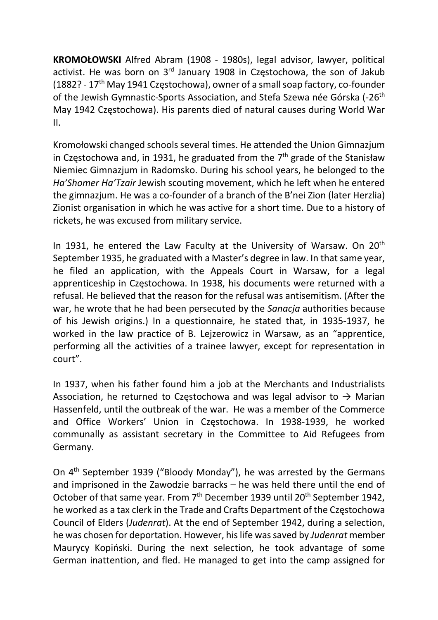KROMOŁOWSKI Alfred Abram (1908 - 1980s), legal advisor, lawyer, political activist. He was born on 3rd January 1908 in Częstochowa, the son of Jakub (1882? - 17th May 1941 Częstochowa), owner of a small soap factory, co-founder of the Jewish Gymnastic-Sports Association, and Stefa Szewa née Górska (-26th May 1942 Częstochowa). His parents died of natural causes during World War II.

Kromołowski changed schools several times. He attended the Union Gimnazjum in Częstochowa and, in 1931, he graduated from the  $7<sup>th</sup>$  grade of the Stanisław Niemiec Gimnazjum in Radomsko. During his school years, he belonged to the Ha'Shomer Ha'Tzair Jewish scouting movement, which he left when he entered the gimnazjum. He was a co-founder of a branch of the B'nei Zion (later Herzlia) Zionist organisation in which he was active for a short time. Due to a history of rickets, he was excused from military service.

In 1931, he entered the Law Faculty at the University of Warsaw. On  $20<sup>th</sup>$ September 1935, he graduated with a Master's degree in law. In that same year, he filed an application, with the Appeals Court in Warsaw, for a legal apprenticeship in Częstochowa. In 1938, his documents were returned with a refusal. He believed that the reason for the refusal was antisemitism. (After the war, he wrote that he had been persecuted by the Sanacja authorities because of his Jewish origins.) In a questionnaire, he stated that, in 1935-1937, he worked in the law practice of B. Lejzerowicz in Warsaw, as an "apprentice, performing all the activities of a trainee lawyer, except for representation in court".

In 1937, when his father found him a job at the Merchants and Industrialists Association, he returned to Częstochowa and was legal advisor to  $\rightarrow$  Marian Hassenfeld, until the outbreak of the war. He was a member of the Commerce and Office Workers' Union in Częstochowa. In 1938-1939, he worked communally as assistant secretary in the Committee to Aid Refugees from Germany.

On 4th September 1939 ("Bloody Monday"), he was arrested by the Germans and imprisoned in the Zawodzie barracks – he was held there until the end of October of that same year. From 7<sup>th</sup> December 1939 until 20<sup>th</sup> September 1942, he worked as a tax clerk in the Trade and Crafts Department of the Częstochowa Council of Elders (Judenrat). At the end of September 1942, during a selection, he was chosen for deportation. However, his life was saved by Judenrat member Maurycy Kopiński. During the next selection, he took advantage of some German inattention, and fled. He managed to get into the camp assigned for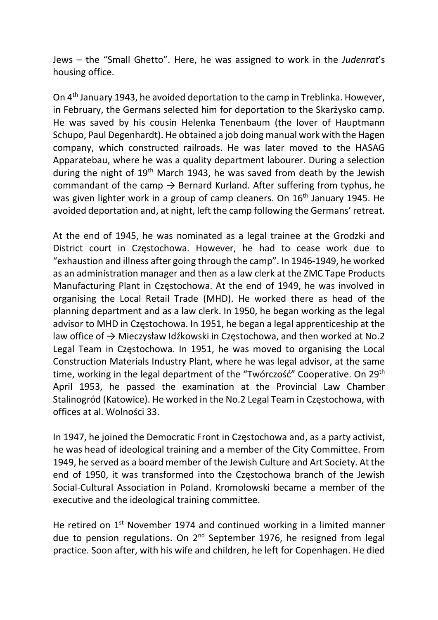Jews – the "Small Ghetto". Here, he was assigned to work in the Judenrat's housing office.

On 4th January 1943, he avoided deportation to the camp in Treblinka. However, in February, the Germans selected him for deportation to the Skarżysko camp. He was saved by his cousin Helenka Tenenbaum (the lover of Hauptmann Schupo, Paul Degenhardt). He obtained a job doing manual work with the Hagen company, which constructed railroads. He was later moved to the HASAG Apparatebau, where he was a quality department labourer. During a selection during the night of 19<sup>th</sup> March 1943, he was saved from death by the Jewish commandant of the camp  $\rightarrow$  Bernard Kurland. After suffering from typhus, he was given lighter work in a group of camp cleaners. On 16<sup>th</sup> January 1945. He avoided deportation and, at night, left the camp following the Germans' retreat.

At the end of 1945, he was nominated as a legal trainee at the Grodzki and District court in Częstochowa. However, he had to cease work due to "exhaustion and illness after going through the camp". In 1946-1949, he worked as an administration manager and then as a law clerk at the ZMC Tape Products Manufacturing Plant in Częstochowa. At the end of 1949, he was involved in organising the Local Retail Trade (MHD). He worked there as head of the planning department and as a law clerk. In 1950, he began working as the legal advisor to MHD in Częstochowa. In 1951, he began a legal apprenticeship at the law office of → Mieczysław Idźkowski in Częstochowa, and then worked at No.2 Legal Team in Częstochowa. In 1951, he was moved to organising the Local Construction Materials Industry Plant, where he was legal advisor, at the same time, working in the legal department of the "Twórczość" Cooperative. On 29th April 1953, he passed the examination at the Provincial Law Chamber Stalinogród (Katowice). He worked in the No.2 Legal Team in Częstochowa, with offices at al. Wolności 33.

In 1947, he joined the Democratic Front in Częstochowa and, as a party activist, he was head of ideological training and a member of the City Committee. From 1949, he served as a board member of the Jewish Culture and Art Society. At the end of 1950, it was transformed into the Częstochowa branch of the Jewish Social-Cultural Association in Poland. Kromołowski became a member of the executive and the ideological training committee.

He retired on  $1<sup>st</sup>$  November 1974 and continued working in a limited manner due to pension regulations. On 2<sup>nd</sup> September 1976, he resigned from legal practice. Soon after, with his wife and children, he left for Copenhagen. He died